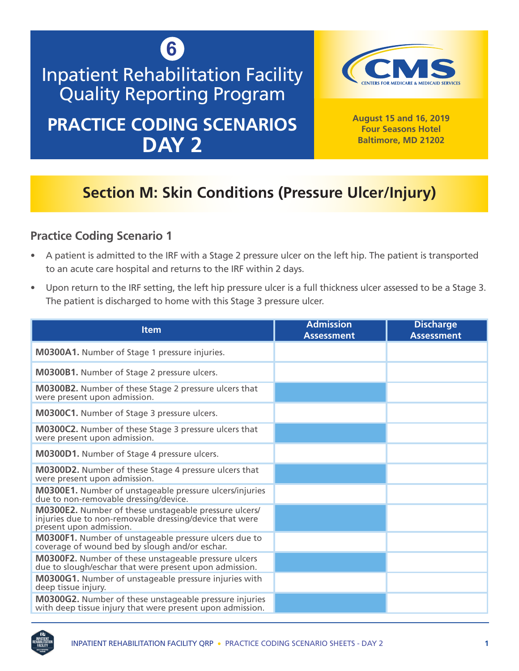

# Inpatient Rehabilitation Facility Quality Reporting Program

## **PRACTICE CODING SCENARIOS DAY 2**



**August 15 and 16, 2019 Four Seasons Hotel Baltimore, MD 21202**

### **Section M: Skin Conditions (Pressure Ulcer/Injury)**

- A patient is admitted to the IRF with a Stage 2 pressure ulcer on the left hip. The patient is transported to an acute care hospital and returns to the IRF within 2 days.
- Upon return to the IRF setting, the left hip pressure ulcer is a full thickness ulcer assessed to be a Stage 3. The patient is discharged to home with this Stage 3 pressure ulcer.

| <b>Item</b>                                                                                                                                 | <b>Admission</b><br><b>Assessment</b> | <b>Discharge</b><br><b>Assessment</b> |
|---------------------------------------------------------------------------------------------------------------------------------------------|---------------------------------------|---------------------------------------|
| M0300A1. Number of Stage 1 pressure injuries.                                                                                               |                                       |                                       |
| <b>M0300B1.</b> Number of Stage 2 pressure ulcers.                                                                                          |                                       |                                       |
| <b>M0300B2.</b> Number of these Stage 2 pressure ulcers that<br>were present upon admission.                                                |                                       |                                       |
| M0300C1. Number of Stage 3 pressure ulcers.                                                                                                 |                                       |                                       |
| <b>M0300C2.</b> Number of these Stage 3 pressure ulcers that<br>were present upon admission.                                                |                                       |                                       |
| <b>M0300D1.</b> Number of Stage 4 pressure ulcers.                                                                                          |                                       |                                       |
| <b>M0300D2.</b> Number of these Stage 4 pressure ulcers that<br>were present upon admission.                                                |                                       |                                       |
| <b>M0300E1.</b> Number of unstageable pressure ulcers/injuries<br>due to non-removable dressing/device.                                     |                                       |                                       |
| M0300E2. Number of these unstageable pressure ulcers/<br>injuries due to non-removable dressing/device that were<br>present upon admission. |                                       |                                       |
| M0300F1. Number of unstageable pressure ulcers due to coverage of wound bed by slough and/or eschar.                                        |                                       |                                       |
| M0300F2. Number of these unstageable pressure ulcers<br>due to slough/eschar that were present upon admission.                              |                                       |                                       |
| <b>M0300G1.</b> Number of unstageable pressure injuries with<br>deep tissue injury.                                                         |                                       |                                       |
| M0300G2. Number of these unstageable pressure injuries<br>with deep tissue injury that were present upon admission.                         |                                       |                                       |

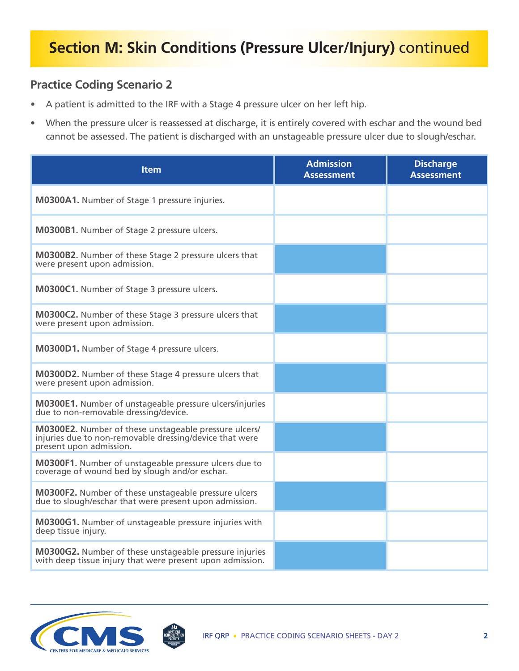- A patient is admitted to the IRF with a Stage 4 pressure ulcer on her left hip.
- When the pressure ulcer is reassessed at discharge, it is entirely covered with eschar and the wound bed cannot be assessed. The patient is discharged with an unstageable pressure ulcer due to slough/eschar.

| <b>Item</b>                                                                                                                                 | <b>Admission</b><br><b>Assessment</b> | <b>Discharge</b><br><b>Assessment</b> |
|---------------------------------------------------------------------------------------------------------------------------------------------|---------------------------------------|---------------------------------------|
| M0300A1. Number of Stage 1 pressure injuries.                                                                                               |                                       |                                       |
| <b>M0300B1.</b> Number of Stage 2 pressure ulcers.                                                                                          |                                       |                                       |
| M0300B2. Number of these Stage 2 pressure ulcers that<br>were present upon admission.                                                       |                                       |                                       |
| M0300C1. Number of Stage 3 pressure ulcers.                                                                                                 |                                       |                                       |
| M0300C2. Number of these Stage 3 pressure ulcers that<br>were present upon admission.                                                       |                                       |                                       |
| M0300D1. Number of Stage 4 pressure ulcers.                                                                                                 |                                       |                                       |
| M0300D2. Number of these Stage 4 pressure ulcers that<br>were present upon admission.                                                       |                                       |                                       |
| <b>M0300E1.</b> Number of unstageable pressure ulcers/injuries<br>due to non-removable dressing/device.                                     |                                       |                                       |
| M0300E2. Number of these unstageable pressure ulcers/<br>injuries due to non-removable dressing/device that were<br>present upon admission. |                                       |                                       |
| M0300F1. Number of unstageable pressure ulcers due to<br>coverage of wound bed by slough and/or eschar.                                     |                                       |                                       |
| M0300F2. Number of these unstageable pressure ulcers<br>due to slough/eschar that were present upon admission.                              |                                       |                                       |
| <b>M0300G1.</b> Number of unstageable pressure injuries with<br>deep tissue injury.                                                         |                                       |                                       |
| M0300G2. Number of these unstageable pressure injuries<br>with deep tissue injury that were present upon admission.                         |                                       |                                       |

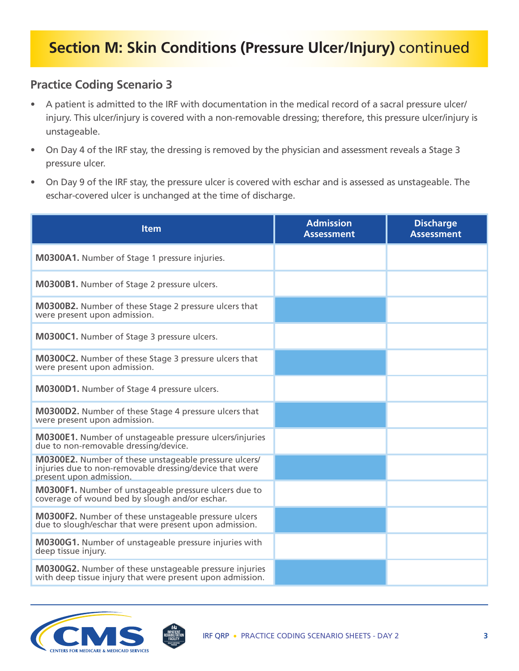- A patient is admitted to the IRF with documentation in the medical record of a sacral pressure ulcer/ injury. This ulcer/injury is covered with a non-removable dressing; therefore, this pressure ulcer/injury is unstageable.
- On Day 4 of the IRF stay, the dressing is removed by the physician and assessment reveals a Stage 3 pressure ulcer.
- On Day 9 of the IRF stay, the pressure ulcer is covered with eschar and is assessed as unstageable. The eschar-covered ulcer is unchanged at the time of discharge.

| <b>Item</b>                                                                                                                                        | <b>Admission</b><br><b>Assessment</b> | <b>Discharge</b><br><b>Assessment</b> |
|----------------------------------------------------------------------------------------------------------------------------------------------------|---------------------------------------|---------------------------------------|
| M0300A1. Number of Stage 1 pressure injuries.                                                                                                      |                                       |                                       |
| M0300B1. Number of Stage 2 pressure ulcers.                                                                                                        |                                       |                                       |
| <b>M0300B2.</b> Number of these Stage 2 pressure ulcers that<br>were present upon admission.                                                       |                                       |                                       |
| M0300C1. Number of Stage 3 pressure ulcers.                                                                                                        |                                       |                                       |
| <b>M0300C2.</b> Number of these Stage 3 pressure ulcers that<br>were present upon admission.                                                       |                                       |                                       |
| M0300D1. Number of Stage 4 pressure ulcers.                                                                                                        |                                       |                                       |
| M0300D2. Number of these Stage 4 pressure ulcers that<br>were present upon admission.                                                              |                                       |                                       |
| <b>M0300E1.</b> Number of unstageable pressure ulcers/injuries<br>due to non-removable dressing/device.                                            |                                       |                                       |
| <b>M0300E2.</b> Number of these unstageable pressure ulcers/<br>injuries due to non-removable dressing/device that were<br>present upon admission. |                                       |                                       |
| M0300F1. Number of unstageable pressure ulcers due to<br>coverage of wound bed by slough and/or eschar.                                            |                                       |                                       |
| <b>M0300F2.</b> Number of these unstageable pressure ulcers<br>due to slough/eschar that were present upon admission.                              |                                       |                                       |
| M0300G1. Number of unstageable pressure injuries with<br>deep tissue injury.                                                                       |                                       |                                       |
| <b>M0300G2.</b> Number of these unstageable pressure injuries<br>with deep tissue injury that were present upon admission.                         |                                       |                                       |

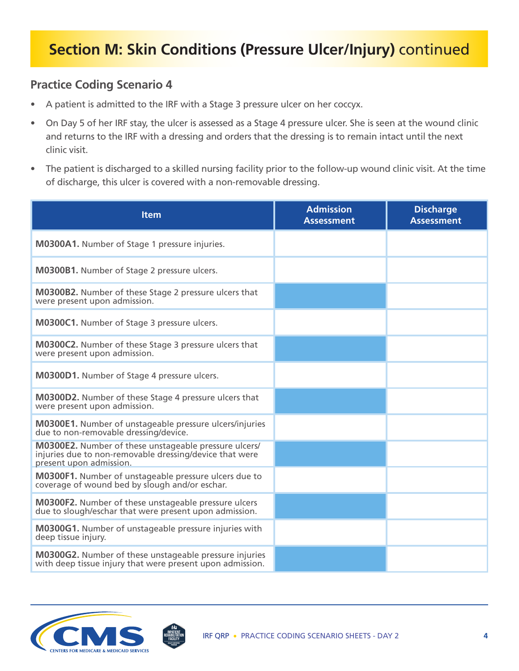- A patient is admitted to the IRF with a Stage 3 pressure ulcer on her coccyx.
- On Day 5 of her IRF stay, the ulcer is assessed as a Stage 4 pressure ulcer. She is seen at the wound clinic and returns to the IRF with a dressing and orders that the dressing is to remain intact until the next clinic visit.
- The patient is discharged to a skilled nursing facility prior to the follow-up wound clinic visit. At the time of discharge, this ulcer is covered with a non-removable dressing.

| <b>Item</b>                                                                                                                                 | <b>Admission</b><br><b>Assessment</b> | <b>Discharge</b><br><b>Assessment</b> |
|---------------------------------------------------------------------------------------------------------------------------------------------|---------------------------------------|---------------------------------------|
| M0300A1. Number of Stage 1 pressure injuries.                                                                                               |                                       |                                       |
| M0300B1. Number of Stage 2 pressure ulcers.                                                                                                 |                                       |                                       |
| M0300B2. Number of these Stage 2 pressure ulcers that<br>were present upon admission.                                                       |                                       |                                       |
| M0300C1. Number of Stage 3 pressure ulcers.                                                                                                 |                                       |                                       |
| M0300C2. Number of these Stage 3 pressure ulcers that<br>were present upon admission.                                                       |                                       |                                       |
| <b>M0300D1.</b> Number of Stage 4 pressure ulcers.                                                                                          |                                       |                                       |
| <b>M0300D2.</b> Number of these Stage 4 pressure ulcers that<br>were present upon admission.                                                |                                       |                                       |
| <b>M0300E1.</b> Number of unstageable pressure ulcers/injuries<br>due to non-removable dressing/device.                                     |                                       |                                       |
| M0300E2. Number of these unstageable pressure ulcers/<br>injuries due to non-removable dressing/device that were<br>present upon admission. |                                       |                                       |
| M0300F1. Number of unstageable pressure ulcers due to<br>coverage of wound bed by slough and/or eschar.                                     |                                       |                                       |
| <b>M0300F2.</b> Number of these unstageable pressure ulcers<br>due to slough/eschar that were present upon admission.                       |                                       |                                       |
| M0300G1. Number of unstageable pressure injuries with<br>deep tissue injury.                                                                |                                       |                                       |
| <b>M0300G2.</b> Number of these unstageable pressure injuries<br>with deep tissue injury that were present upon admission.                  |                                       |                                       |

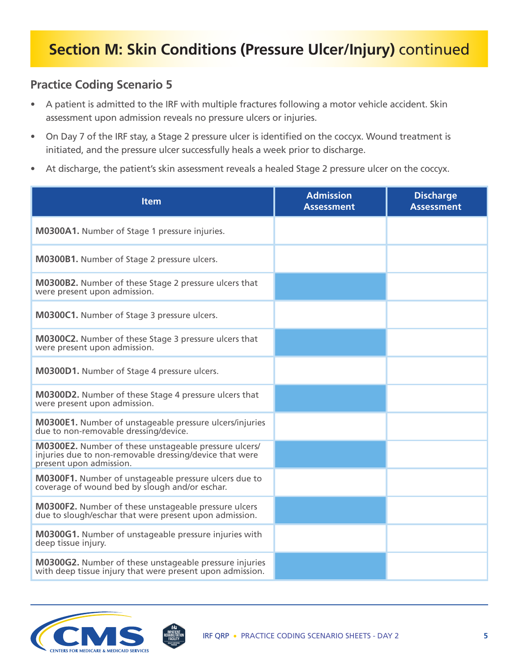- A patient is admitted to the IRF with multiple fractures following a motor vehicle accident. Skin assessment upon admission reveals no pressure ulcers or injuries.
- On Day 7 of the IRF stay, a Stage 2 pressure ulcer is identified on the coccyx. Wound treatment is initiated, and the pressure ulcer successfully heals a week prior to discharge.
- At discharge, the patient's skin assessment reveals a healed Stage 2 pressure ulcer on the coccyx.

| <b>Item</b>                                                                                                                                 | <b>Admission</b><br><b>Assessment</b> | <b>Discharge</b><br><b>Assessment</b> |
|---------------------------------------------------------------------------------------------------------------------------------------------|---------------------------------------|---------------------------------------|
| M0300A1. Number of Stage 1 pressure injuries.                                                                                               |                                       |                                       |
| <b>M0300B1.</b> Number of Stage 2 pressure ulcers.                                                                                          |                                       |                                       |
| <b>M0300B2.</b> Number of these Stage 2 pressure ulcers that<br>were present upon admission.                                                |                                       |                                       |
| M0300C1. Number of Stage 3 pressure ulcers.                                                                                                 |                                       |                                       |
| M0300C2. Number of these Stage 3 pressure ulcers that<br>were present upon admission.                                                       |                                       |                                       |
| M0300D1. Number of Stage 4 pressure ulcers.                                                                                                 |                                       |                                       |
| M0300D2. Number of these Stage 4 pressure ulcers that<br>were present upon admission.                                                       |                                       |                                       |
| <b>M0300E1.</b> Number of unstageable pressure ulcers/injuries<br>due to non-removable dressing/device.                                     |                                       |                                       |
| M0300E2. Number of these unstageable pressure ulcers/<br>injuries due to non-removable dressing/device that were<br>present upon admission. |                                       |                                       |
| M0300F1. Number of unstageable pressure ulcers due to<br>coverage of wound bed by slough and/or eschar.                                     |                                       |                                       |
| <b>M0300F2.</b> Number of these unstageable pressure ulcers<br>due to slough/eschar that were present upon admission.                       |                                       |                                       |
| M0300G1. Number of unstageable pressure injuries with<br>deep tissue injury.                                                                |                                       |                                       |
| M0300G2. Number of these unstageable pressure injuries<br>with deep tissue injury that were present upon admission.                         |                                       |                                       |

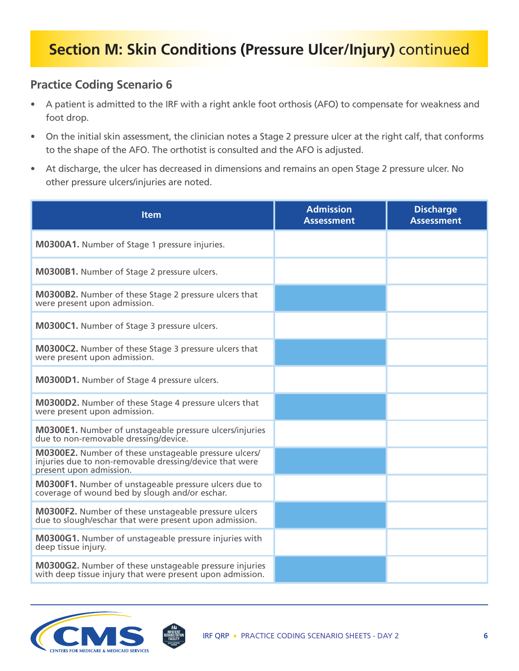- A patient is admitted to the IRF with a right ankle foot orthosis (AFO) to compensate for weakness and foot drop.
- On the initial skin assessment, the clinician notes a Stage 2 pressure ulcer at the right calf, that conforms to the shape of the AFO. The orthotist is consulted and the AFO is adjusted.
- At discharge, the ulcer has decreased in dimensions and remains an open Stage 2 pressure ulcer. No other pressure ulcers/injuries are noted.

| <b>Item</b>                                                                                                                                 | <b>Admission</b><br><b>Assessment</b> | <b>Discharge</b><br><b>Assessment</b> |
|---------------------------------------------------------------------------------------------------------------------------------------------|---------------------------------------|---------------------------------------|
| M0300A1. Number of Stage 1 pressure injuries.                                                                                               |                                       |                                       |
| M0300B1. Number of Stage 2 pressure ulcers.                                                                                                 |                                       |                                       |
| <b>M0300B2.</b> Number of these Stage 2 pressure ulcers that<br>were present upon admission.                                                |                                       |                                       |
| M0300C1. Number of Stage 3 pressure ulcers.                                                                                                 |                                       |                                       |
| M0300C2. Number of these Stage 3 pressure ulcers that<br>were present upon admission.                                                       |                                       |                                       |
| M0300D1. Number of Stage 4 pressure ulcers.                                                                                                 |                                       |                                       |
| M0300D2. Number of these Stage 4 pressure ulcers that<br>were present upon admission.                                                       |                                       |                                       |
| <b>M0300E1.</b> Number of unstageable pressure ulcers/injuries<br>due to non-removable dressing/device.                                     |                                       |                                       |
| M0300E2. Number of these unstageable pressure ulcers/<br>injuries due to non-removable dressing/device that were<br>present upon admission. |                                       |                                       |
| M0300F1. Number of unstageable pressure ulcers due to<br>coverage of wound bed by slough and/or eschar.                                     |                                       |                                       |
| <b>M0300F2.</b> Number of these unstageable pressure ulcers<br>due to slough/eschar that were present upon admission.                       |                                       |                                       |
| M0300G1. Number of unstageable pressure injuries with<br>deep tissue injury.                                                                |                                       |                                       |
| M0300G2. Number of these unstageable pressure injuries<br>with deep tissue injury that were present upon admission.                         |                                       |                                       |

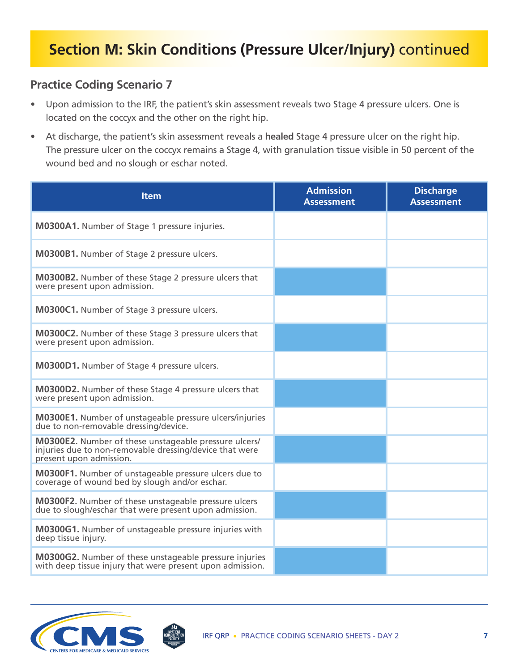- Upon admission to the IRF, the patient's skin assessment reveals two Stage 4 pressure ulcers. One is located on the coccyx and the other on the right hip.
- At discharge, the patient's skin assessment reveals a **healed** Stage 4 pressure ulcer on the right hip. The pressure ulcer on the coccyx remains a Stage 4, with granulation tissue visible in 50 percent of the wound bed and no slough or eschar noted.

| <b>Item</b>                                                                                                                                 | <b>Admission</b><br><b>Assessment</b> | <b>Discharge</b><br><b>Assessment</b> |
|---------------------------------------------------------------------------------------------------------------------------------------------|---------------------------------------|---------------------------------------|
| M0300A1. Number of Stage 1 pressure injuries.                                                                                               |                                       |                                       |
| M0300B1. Number of Stage 2 pressure ulcers.                                                                                                 |                                       |                                       |
| M0300B2. Number of these Stage 2 pressure ulcers that<br>were present upon admission.                                                       |                                       |                                       |
| M0300C1. Number of Stage 3 pressure ulcers.                                                                                                 |                                       |                                       |
| M0300C2. Number of these Stage 3 pressure ulcers that<br>were present upon admission.                                                       |                                       |                                       |
| M0300D1. Number of Stage 4 pressure ulcers.                                                                                                 |                                       |                                       |
| M0300D2. Number of these Stage 4 pressure ulcers that<br>were present upon admission.                                                       |                                       |                                       |
| <b>M0300E1.</b> Number of unstageable pressure ulcers/injuries<br>due to non-removable dressing/device.                                     |                                       |                                       |
| M0300E2. Number of these unstageable pressure ulcers/<br>injuries due to non-removable dressing/device that were<br>present upon admission. |                                       |                                       |
| M0300F1. Number of unstageable pressure ulcers due to<br>coverage of wound bed by slough and/or eschar.                                     |                                       |                                       |
| M0300F2. Number of these unstageable pressure ulcers<br>due to slough/eschar that were present upon admission.                              |                                       |                                       |
| M0300G1. Number of unstageable pressure injuries with<br>deep tissue injury.                                                                |                                       |                                       |
| <b>M0300G2.</b> Number of these unstageable pressure injuries<br>with deep tissue injury that were present upon admission.                  |                                       |                                       |

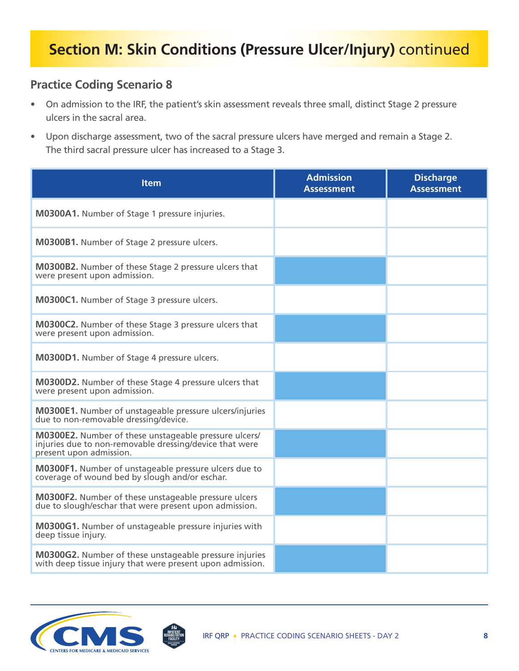- On admission to the IRF, the patient's skin assessment reveals three small, distinct Stage 2 pressure ulcers in the sacral area.
- Upon discharge assessment, two of the sacral pressure ulcers have merged and remain a Stage 2. The third sacral pressure ulcer has increased to a Stage 3.

| <b>Item</b>                                                                                                                                 | <b>Admission</b><br><b>Assessment</b> | <b>Discharge</b><br><b>Assessment</b> |
|---------------------------------------------------------------------------------------------------------------------------------------------|---------------------------------------|---------------------------------------|
| M0300A1. Number of Stage 1 pressure injuries.                                                                                               |                                       |                                       |
| M0300B1. Number of Stage 2 pressure ulcers.                                                                                                 |                                       |                                       |
| M0300B2. Number of these Stage 2 pressure ulcers that<br>were present upon admission.                                                       |                                       |                                       |
| M0300C1. Number of Stage 3 pressure ulcers.                                                                                                 |                                       |                                       |
| M0300C2. Number of these Stage 3 pressure ulcers that<br>were present upon admission.                                                       |                                       |                                       |
| M0300D1. Number of Stage 4 pressure ulcers.                                                                                                 |                                       |                                       |
| <b>M0300D2.</b> Number of these Stage 4 pressure ulcers that<br>were present upon admission.                                                |                                       |                                       |
| <b>M0300E1.</b> Number of unstageable pressure ulcers/injuries<br>due to non-removable dressing/device.                                     |                                       |                                       |
| M0300E2. Number of these unstageable pressure ulcers/<br>injuries due to non-removable dressing/device that were<br>present upon admission. |                                       |                                       |
| M0300F1. Number of unstageable pressure ulcers due to<br>coverage of wound bed by slough and/or eschar.                                     |                                       |                                       |
| M0300F2. Number of these unstageable pressure ulcers<br>due to slough/eschar that were present upon admission.                              |                                       |                                       |
| M0300G1. Number of unstageable pressure injuries with<br>deep tissue injury.                                                                |                                       |                                       |
| M0300G2. Number of these unstageable pressure injuries<br>with deep tissue injury that were present upon admission.                         |                                       |                                       |

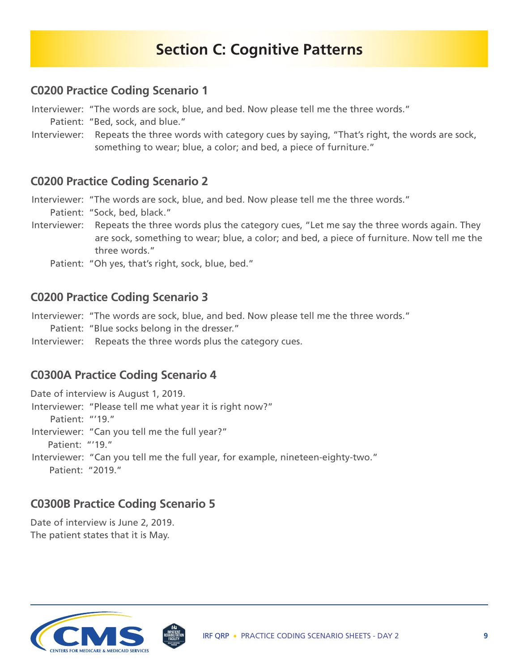### **Section C: Cognitive Patterns**

#### **C0200 Practice Coding Scenario 1**

Interviewer: "The words are sock, blue, and bed. Now please tell me the three words."

- Patient: "Bed, sock, and blue."
- Interviewer: Repeats the three words with category cues by saying, "That's right, the words are sock, something to wear; blue, a color; and bed, a piece of furniture."

#### **C0200 Practice Coding Scenario 2**

 Interviewer: "The words are sock, blue, and bed. Now please tell me the three words." Patient: "Sock, bed, black."

- Interviewer: Repeats the three words plus the category cues, "Let me say the three words again. They are sock, something to wear; blue, a color; and bed, a piece of furniture. Now tell me the three words."
	- Patient: "Oh yes, that's right, sock, blue, bed."

#### **C0200 Practice Coding Scenario 3**

Interviewer: "The words are sock, blue, and bed. Now please tell me the three words."

Patient: "Blue socks belong in the dresser."

Interviewer: Repeats the three words plus the category cues.

#### **C0300A Practice Coding Scenario 4**

Date of interview is August 1, 2019. Interviewer: "Please tell me what year it is right now?" Patient: "'19." Interviewer: "Can you tell me the full year?" Patient: "'19." Interviewer: "Can you tell me the full year, for example, nineteen-eighty-two." Patient: "2019."

#### **C0300B Practice Coding Scenario 5**

Date of interview is June 2, 2019. The patient states that it is May.